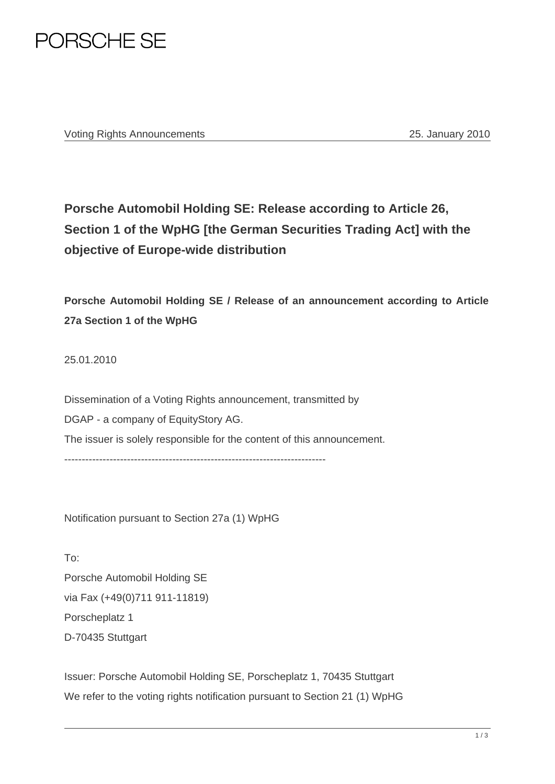

Voting Rights Announcements 25. January 2010

## **Porsche Automobil Holding SE: Release according to Article 26, Section 1 of the WpHG [the German Securities Trading Act] with the objective of Europe-wide distribution**

**Porsche Automobil Holding SE / Release of an announcement according to Article 27a Section 1 of the WpHG**

25.01.2010

Dissemination of a Voting Rights announcement, transmitted by DGAP - a company of EquityStory AG. The issuer is solely responsible for the content of this announcement. ---------------------------------------------------------------------------

Notification pursuant to Section 27a (1) WpHG

To: Porsche Automobil Holding SE via Fax (+49(0)711 911-11819) Porscheplatz 1 D-70435 Stuttgart

Issuer: Porsche Automobil Holding SE, Porscheplatz 1, 70435 Stuttgart We refer to the voting rights notification pursuant to Section 21 (1) WpHG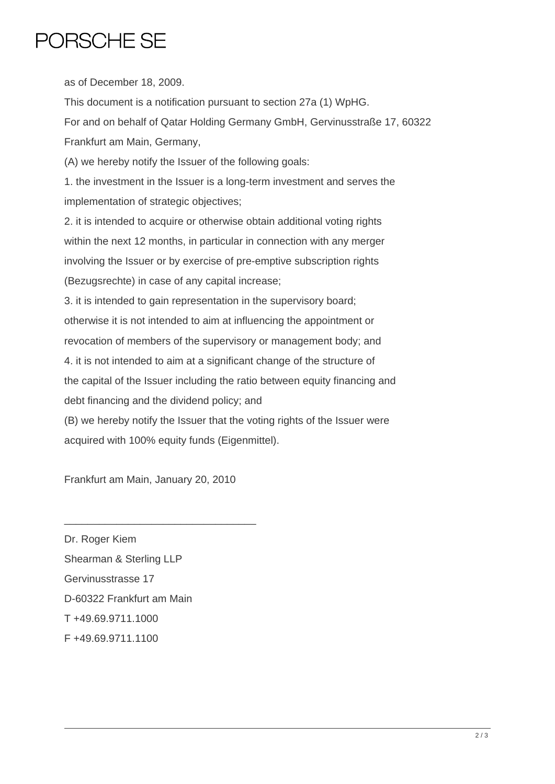## PORSCHE SE

as of December 18, 2009.

This document is a notification pursuant to section 27a (1) WpHG.

For and on behalf of Qatar Holding Germany GmbH, Gervinusstraße 17, 60322 Frankfurt am Main, Germany,

(A) we hereby notify the Issuer of the following goals:

1. the investment in the Issuer is a long-term investment and serves the implementation of strategic objectives;

2. it is intended to acquire or otherwise obtain additional voting rights within the next 12 months, in particular in connection with any merger involving the Issuer or by exercise of pre-emptive subscription rights (Bezugsrechte) in case of any capital increase;

3. it is intended to gain representation in the supervisory board; otherwise it is not intended to aim at influencing the appointment or revocation of members of the supervisory or management body; and 4. it is not intended to aim at a significant change of the structure of

the capital of the Issuer including the ratio between equity financing and debt financing and the dividend policy; and

(B) we hereby notify the Issuer that the voting rights of the Issuer were acquired with 100% equity funds (Eigenmittel).

Frankfurt am Main, January 20, 2010

\_\_\_\_\_\_\_\_\_\_\_\_\_\_\_\_\_\_\_\_\_\_\_\_\_\_\_\_\_\_\_\_\_

Dr. Roger Kiem Shearman & Sterling LLP Gervinusstrasse 17 D-60322 Frankfurt am Main T +49.69.9711.1000 F +49.69.9711.1100